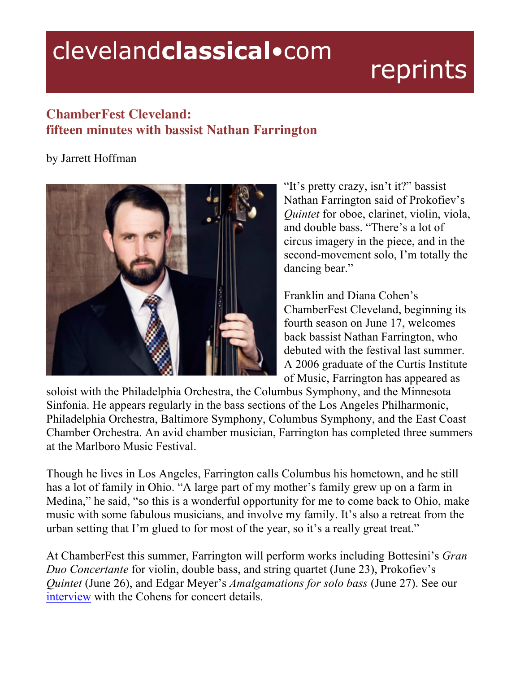## clevelandclassical.com

# reprints

### **ChamberFest Cleveland: fifteen minutes with bassist Nathan Farrington**

#### by Jarrett Hoffman



"It's pretty crazy, isn't it?" bassist Nathan Farrington said of Prokofiev's *Quintet* for oboe, clarinet, violin, viola, and double bass. "There's a lot of circus imagery in the piece, and in the second-movement solo, I'm totally the dancing bear."

Franklin and Diana Cohen's ChamberFest Cleveland, beginning its fourth season on June 17, welcomes back bassist Nathan Farrington, who debuted with the festival last summer. A 2006 graduate of the Curtis Institute of Music, Farrington has appeared as

soloist with the Philadelphia Orchestra, the Columbus Symphony, and the Minnesota Sinfonia. He appears regularly in the bass sections of the Los Angeles Philharmonic, Philadelphia Orchestra, Baltimore Symphony, Columbus Symphony, and the East Coast Chamber Orchestra. An avid chamber musician, Farrington has completed three summers at the Marlboro Music Festival.

Though he lives in Los Angeles, Farrington calls Columbus his hometown, and he still has a lot of family in Ohio. "A large part of my mother's family grew up on a farm in Medina," he said, "so this is a wonderful opportunity for me to come back to Ohio, make music with some fabulous musicians, and involve my family. It's also a retreat from the urban setting that I'm glued to for most of the year, so it's a really great treat."

At ChamberFest this summer, Farrington will perform works including Bottesini's *Gran Duo Concertante* for violin, double bass, and string quartet (June 23), Prokofiev's *Quintet* (June 26), and Edgar Meyer's *Amalgamations for solo bass* (June 27). See our interview with the Cohens for concert details.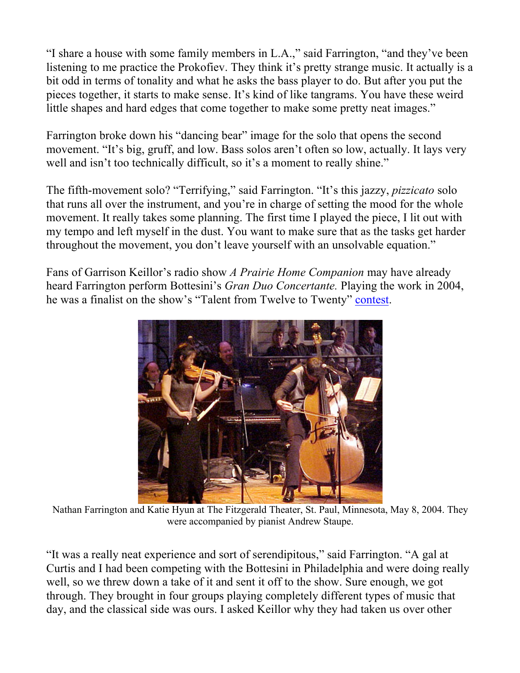"I share a house with some family members in L.A.," said Farrington, "and they've been listening to me practice the Prokofiev. They think it's pretty strange music. It actually is a bit odd in terms of tonality and what he asks the bass player to do. But after you put the pieces together, it starts to make sense. It's kind of like tangrams. You have these weird little shapes and hard edges that come together to make some pretty neat images."

Farrington broke down his "dancing bear" image for the solo that opens the second movement. "It's big, gruff, and low. Bass solos aren't often so low, actually. It lays very well and isn't too technically difficult, so it's a moment to really shine."

The fifth-movement solo? "Terrifying," said Farrington. "It's this jazzy, *pizzicato* solo that runs all over the instrument, and you're in charge of setting the mood for the whole movement. It really takes some planning. The first time I played the piece, I lit out with my tempo and left myself in the dust. You want to make sure that as the tasks get harder throughout the movement, you don't leave yourself with an unsolvable equation."

Fans of Garrison Keillor's radio show *A Prairie Home Companion* may have already heard Farrington perform Bottesini's *Gran Duo Concertante.* Playing the work in 2004, he was a finalist on the show's "Talent from Twelve to Twenty" contest.



Nathan Farrington and Katie Hyun at The Fitzgerald Theater, St. Paul, Minnesota, May 8, 2004. They were accompanied by pianist Andrew Staupe.

"It was a really neat experience and sort of serendipitous," said Farrington. "A gal at Curtis and I had been competing with the Bottesini in Philadelphia and were doing really well, so we threw down a take of it and sent it off to the show. Sure enough, we got through. They brought in four groups playing completely different types of music that day, and the classical side was ours. I asked Keillor why they had taken us over other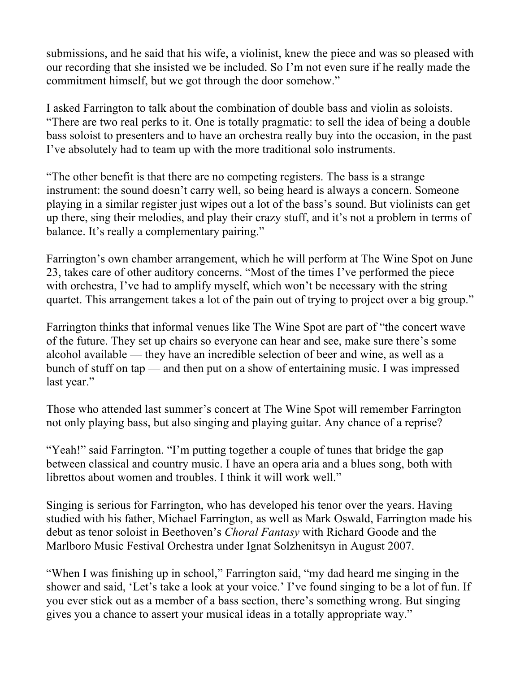submissions, and he said that his wife, a violinist, knew the piece and was so pleased with our recording that she insisted we be included. So I'm not even sure if he really made the commitment himself, but we got through the door somehow."

I asked Farrington to talk about the combination of double bass and violin as soloists. "There are two real perks to it. One is totally pragmatic: to sell the idea of being a double bass soloist to presenters and to have an orchestra really buy into the occasion, in the past I've absolutely had to team up with the more traditional solo instruments.

"The other benefit is that there are no competing registers. The bass is a strange instrument: the sound doesn't carry well, so being heard is always a concern. Someone playing in a similar register just wipes out a lot of the bass's sound. But violinists can get up there, sing their melodies, and play their crazy stuff, and it's not a problem in terms of balance. It's really a complementary pairing."

Farrington's own chamber arrangement, which he will perform at The Wine Spot on June 23, takes care of other auditory concerns. "Most of the times I've performed the piece with orchestra, I've had to amplify myself, which won't be necessary with the string quartet. This arrangement takes a lot of the pain out of trying to project over a big group."

Farrington thinks that informal venues like The Wine Spot are part of "the concert wave of the future. They set up chairs so everyone can hear and see, make sure there's some alcohol available — they have an incredible selection of beer and wine, as well as a bunch of stuff on tap — and then put on a show of entertaining music. I was impressed last year."

Those who attended last summer's concert at The Wine Spot will remember Farrington not only playing bass, but also singing and playing guitar. Any chance of a reprise?

"Yeah!" said Farrington. "I'm putting together a couple of tunes that bridge the gap between classical and country music. I have an opera aria and a blues song, both with librettos about women and troubles. I think it will work well."

Singing is serious for Farrington, who has developed his tenor over the years. Having studied with his father, Michael Farrington, as well as Mark Oswald, Farrington made his debut as tenor soloist in Beethoven's *Choral Fantasy* with Richard Goode and the Marlboro Music Festival Orchestra under Ignat Solzhenitsyn in August 2007.

"When I was finishing up in school," Farrington said, "my dad heard me singing in the shower and said, 'Let's take a look at your voice.' I've found singing to be a lot of fun. If you ever stick out as a member of a bass section, there's something wrong. But singing gives you a chance to assert your musical ideas in a totally appropriate way."